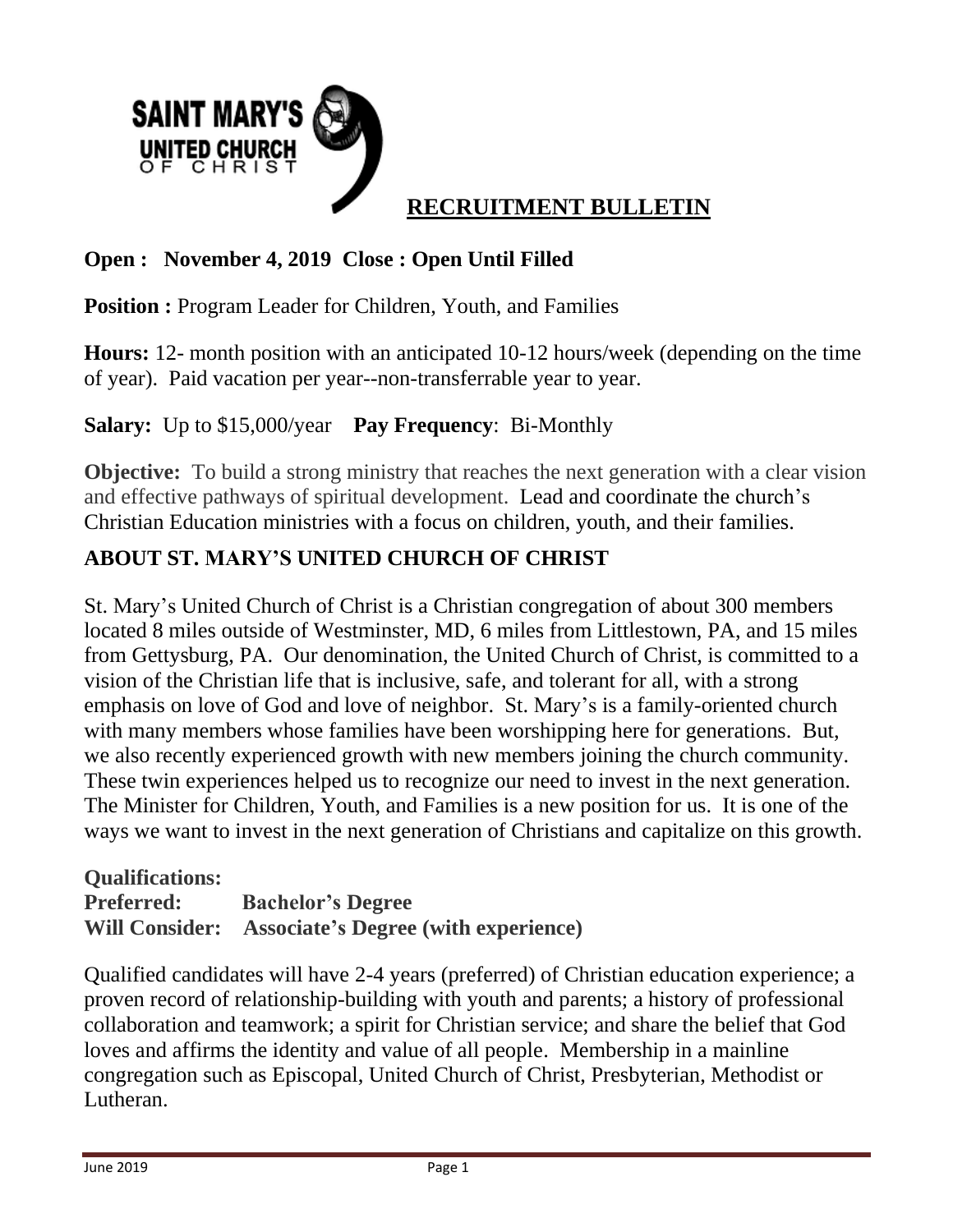

# **Open : November 4, 2019 Close : Open Until Filled**

**Position** : Program Leader for Children, Youth, and Families

**Hours:** 12- month position with an anticipated 10-12 hours/week (depending on the time of year). Paid vacation per year--non-transferrable year to year.

**Salary:** Up to \$15,000/year **Pay Frequency**: Bi-Monthly

**Objective:** To build a strong ministry that reaches the next generation with a clear vision and effective pathways of spiritual development. Lead and coordinate the church's Christian Education ministries with a focus on children, youth, and their families.

### **ABOUT ST. MARY'S UNITED CHURCH OF CHRIST**

St. Mary's United Church of Christ is a Christian congregation of about 300 members located 8 miles outside of Westminster, MD, 6 miles from Littlestown, PA, and 15 miles from Gettysburg, PA. Our denomination, the United Church of Christ, is committed to a vision of the Christian life that is inclusive, safe, and tolerant for all, with a strong emphasis on love of God and love of neighbor. St. Mary's is a family-oriented church with many members whose families have been worshipping here for generations. But, we also recently experienced growth with new members joining the church community. These twin experiences helped us to recognize our need to invest in the next generation. The Minister for Children, Youth, and Families is a new position for us. It is one of the ways we want to invest in the next generation of Christians and capitalize on this growth.

### **Qualifications: Preferred: Bachelor's Degree Will Consider: Associate's Degree (with experience)**

Qualified candidates will have 2-4 years (preferred) of Christian education experience; a proven record of relationship-building with youth and parents; a history of professional collaboration and teamwork; a spirit for Christian service; and share the belief that God loves and affirms the identity and value of all people. Membership in a mainline congregation such as Episcopal, United Church of Christ, Presbyterian, Methodist or Lutheran.